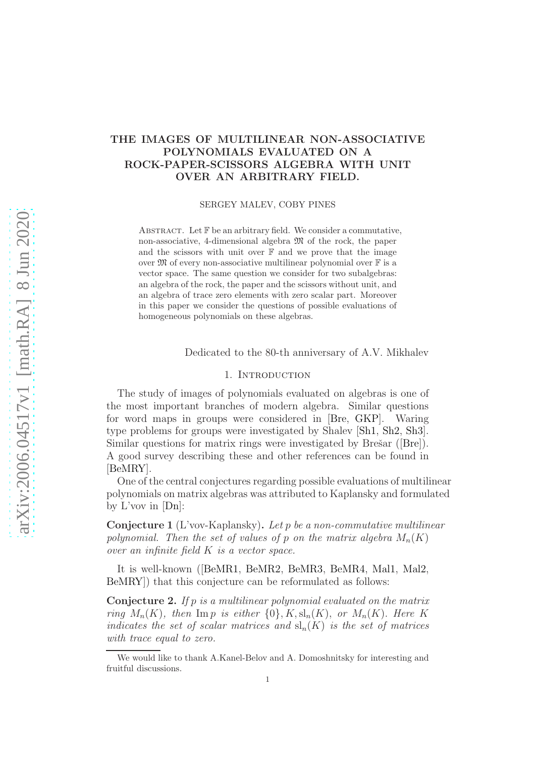# THE IMAGES OF MULTILINEAR NON-ASSOCIATIVE POLYNOMIALS EVALUATED ON A ROCK-PAPER-SCISSORS ALGEBRA WITH UNIT OVER AN ARBITRARY FIELD.

SERGEY MALEV, COBY PINES

ABSTRACT. Let  $\mathbb F$  be an arbitrary field. We consider a commutative, non-associative, 4-dimensional algebra  $\mathfrak{M}$  of the rock, the paper and the scissors with unit over  $\mathbb F$  and we prove that the image over  $\mathfrak M$  of every non-associative multilinear polynomial over  $\mathbb F$  is a vector space. The same question we consider for two subalgebras: an algebra of the rock, the paper and the scissors without unit, and an algebra of trace zero elements with zero scalar part. Moreover in this paper we consider the questions of possible evaluations of homogeneous polynomials on these algebras.

Dedicated to the 80-th anniversary of A.V. Mikhalev

#### 1. INTRODUCTION

The study of images of polynomials evaluated on algebras is one of the most important branches of modern algebra. Similar questions for word maps in groups were considered in [\[Bre,](#page-9-0) [GKP\]](#page-9-1). Waring type problems for groups were investigated by Shalev [\[Sh1,](#page-10-0) [Sh2,](#page-10-1) [Sh3\]](#page-10-2). Similar questions for matrix rings were investigated by Brešar  $(|Ber|)$ . A good survey describing these and other references can be found in [\[BeMRY\]](#page-9-2).

One of the central conjectures regarding possible evaluations of multilinear polynomials on matrix algebras was attributed to Kaplansky and formulated by  $L'$ vov in  $[Dn]$ :

Conjecture 1 (L'vov-Kaplansky). Let p be a non-commutative multilinear polynomial. Then the set of values of p on the matrix algebra  $M_n(K)$ over an infinite field K is a vector space.

It is well-known ([\[BeMR1,](#page-9-4) [BeMR2,](#page-9-5) [BeMR3,](#page-9-6) [BeMR4,](#page-9-7) [Mal1,](#page-9-8) [Mal2,](#page-10-3) [BeMRY\]](#page-9-2)) that this conjecture can be reformulated as follows:

Conjecture 2. If p is a multilinear polynomial evaluated on the matrix ring  $M_n(K)$ , then Imp is either  $\{0\}, K, sl_n(K)$ , or  $M_n(K)$ . Here K indicates the set of scalar matrices and  $\mathrm{sl}_n(K)$  is the set of matrices with trace equal to zero.

We would like to thank A.Kanel-Belov and A. Domoshnitsky for interesting and fruitful discussions.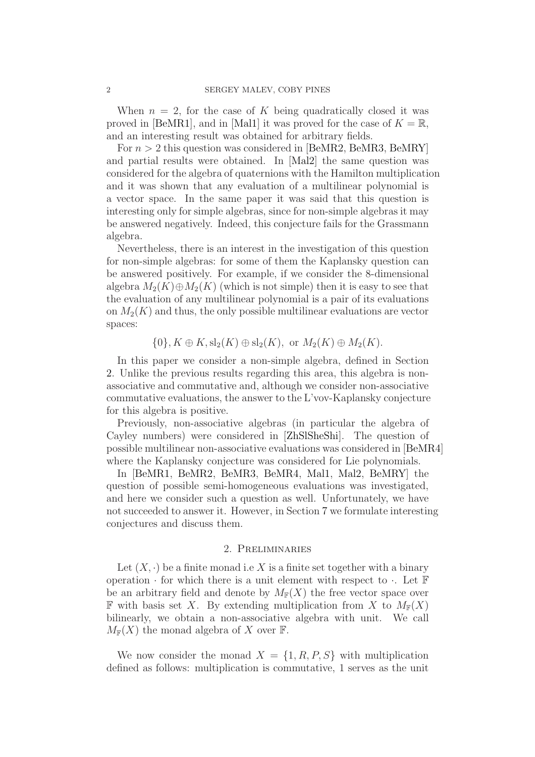When  $n = 2$ , for the case of K being quadratically closed it was proved in [\[BeMR1\]](#page-9-4), and in [\[Mal1\]](#page-9-8) it was proved for the case of  $K = \mathbb{R}$ , and an interesting result was obtained for arbitrary fields.

For  $n > 2$  this question was considered in [\[BeMR2,](#page-9-5) [BeMR3,](#page-9-6) [BeMRY\]](#page-9-2) and partial results were obtained. In [\[Mal2\]](#page-10-3) the same question was considered for the algebra of quaternions with the Hamilton multiplication and it was shown that any evaluation of a multilinear polynomial is a vector space. In the same paper it was said that this question is interesting only for simple algebras, since for non-simple algebras it may be answered negatively. Indeed, this conjecture fails for the Grassmann algebra.

Nevertheless, there is an interest in the investigation of this question for non-simple algebras: for some of them the Kaplansky question can be answered positively. For example, if we consider the 8-dimensional algebra  $M_2(K) \oplus M_2(K)$  (which is not simple) then it is easy to see that the evaluation of any multilinear polynomial is a pair of its evaluations on  $M_2(K)$  and thus, the only possible multilinear evaluations are vector spaces:

 $\{0\}, K \oplus K$ ,  $sl_2(K) \oplus sl_2(K)$ , or  $M_2(K) \oplus M_2(K)$ .

In this paper we consider a non-simple algebra, defined in Section [2.](#page-1-0) Unlike the previous results regarding this area, this algebra is nonassociative and commutative and, although we consider non-associative commutative evaluations, the answer to the L'vov-Kaplansky conjecture for this algebra is positive.

Previously, non-associative algebras (in particular the algebra of Cayley numbers) were considered in [\[ZhSlSheShi\]](#page-10-4). The question of possible multilinear non-associative evaluations was considered in [\[BeMR4\]](#page-9-7) where the Kaplansky conjecture was considered for Lie polynomials.

In [\[BeMR1,](#page-9-4) [BeMR2,](#page-9-5) [BeMR3,](#page-9-6) [BeMR4,](#page-9-7) [Mal1,](#page-9-8) [Mal2,](#page-10-3) [BeMRY\]](#page-9-2) the question of possible semi-homogeneous evaluations was investigated, and here we consider such a question as well. Unfortunately, we have not succeeded to answer it. However, in Section [7](#page-8-0) we formulate interesting conjectures and discuss them.

### 2. Preliminaries

<span id="page-1-0"></span>Let  $(X, \cdot)$  be a finite monad i.e X is a finite set together with a binary operation  $\cdot$  for which there is a unit element with respect to  $\cdot$ . Let  $\mathbb F$ be an arbitrary field and denote by  $M_{\mathbb{F}}(X)$  the free vector space over **F** with basis set X. By extending multiplication from X to  $M_{\mathbb{F}}(X)$ bilinearly, we obtain a non-associative algebra with unit. We call  $M_{\mathbb{F}}(X)$  the monad algebra of X over F.

We now consider the monad  $X = \{1, R, P, S\}$  with multiplication defined as follows: multiplication is commutative, 1 serves as the unit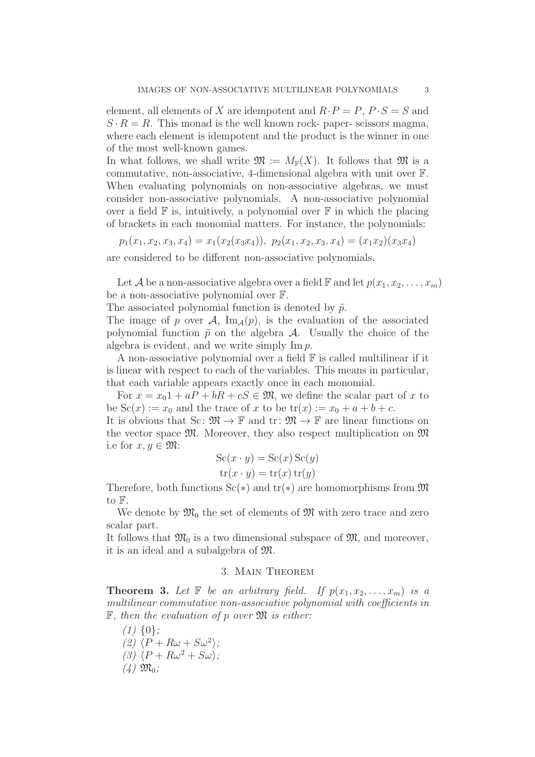element, all elements of X are idempotent and  $R \cdot P = P$ ,  $P \cdot S = S$  and  $S \cdot R = R$ . This monad is the well known rock- paper- scissors magma, where each element is idempotent and the product is the winner in one of the most well-known games.

In what follows, we shall write  $\mathfrak{M} := M_{\mathbb{F}}(X)$ . It follows that  $\mathfrak{M}$  is a commutative, non-associative, 4-dimensional algebra with unit over F. When evaluating polynomials on non-associative algebras, we must consider non-associative polynomials. A non-associative polynomial over a field  $\mathbb F$  is, intuitively, a polynomial over  $\mathbb F$  in which the placing of brackets in each monomial matters. For instance, the polynomials:

 $p_1(x_1, x_2, x_3, x_4) = x_1(x_2(x_3x_4)), p_2(x_1, x_2, x_3, x_4) = (x_1x_2)(x_3x_4)$ are considered to be different non-associative polynomials.

Let A be a non-associative algebra over a field  $\mathbb F$  and let  $p(x_1, x_2, \ldots, x_m)$ be a non-associative polynomial over F.

The associated polynomial function is denoted by  $\tilde{p}$ .

The image of p over A,  $\text{Im}_{\mathcal{A}}(p)$ , is the evaluation of the associated polynomial function  $\tilde{p}$  on the algebra A. Usually the choice of the algebra is evident, and we write simply Im p.

A non-associative polynomial over a field  $\mathbb F$  is called multilinear if it is linear with respect to each of the variables. This means in particular, that each variable appears exactly once in each monomial.

For  $x = x_0 1 + aP + bR + cS \in \mathfrak{M}$ , we define the scalar part of x to be  $Sc(x) := x_0$  and the trace of x to be  $tr(x) := x_0 + a + b + c$ .

It is obvious that Sc:  $\mathfrak{M} \to \mathbb{F}$  and  $\mathrm{tr}: \mathfrak{M} \to \mathbb{F}$  are linear functions on the vector space  $\mathfrak{M}$ . Moreover, they also respect multiplication on  $\mathfrak{M}$ i.e for  $x, y \in \mathfrak{M}$ :

$$
Sc(x \cdot y) = Sc(x) Sc(y)
$$
  
tr(x \cdot y) = tr(x) tr(y)

Therefore, both functions  $Sc(*)$  and  $tr(*)$  are homomorphisms from  $\mathfrak{M}$ to F.

We denote by  $\mathfrak{M}_0$  the set of elements of  $\mathfrak{M}$  with zero trace and zero scalar part.

It follows that  $\mathfrak{M}_0$  is a two dimensional subspace of  $\mathfrak{M}$ , and moreover, it is an ideal and a subalgebra of M.

## 3. Main Theorem

<span id="page-2-0"></span>**Theorem 3.** Let  $\mathbb F$  be an arbitrary field. If  $p(x_1, x_2, \ldots, x_m)$  is a multilinear commutative non-associative polynomial with coefficients in  $\mathbb F$ , then the evaluation of p over  $\mathfrak M$  is either:

 $(1)$  {0}; (2)  $\langle P+R\omega+S\omega^2\rangle;$ (3)  $\langle P + R\omega^2 + S\omega \rangle$ ;  $(4)$   $\mathfrak{M}_0$ ;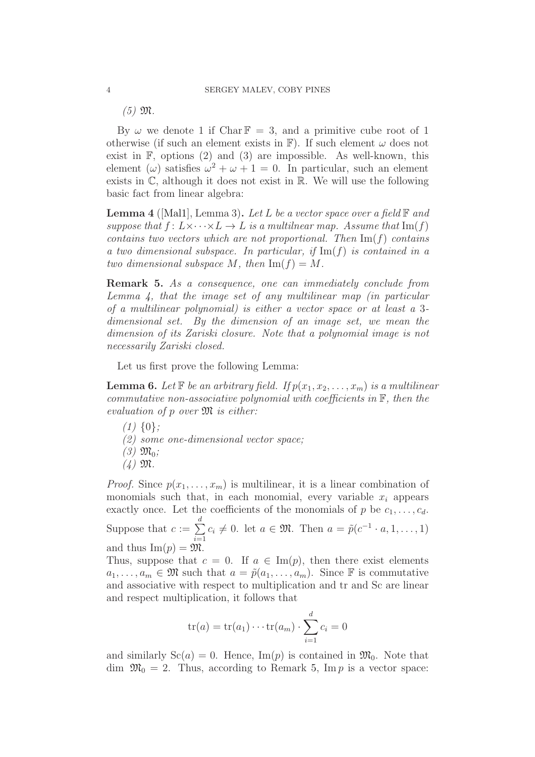$(5)$   $\mathfrak{M}$ .

By  $\omega$  we denote 1 if Char  $\mathbb{F} = 3$ , and a primitive cube root of 1 otherwise (if such an element exists in  $\mathbb{F}$ ). If such element  $\omega$  does not exist in F, options (2) and (3) are impossible. As well-known, this element ( $\omega$ ) satisfies  $\omega^2 + \omega + 1 = 0$ . In particular, such an element exists in  $\mathbb{C}$ , although it does not exist in  $\mathbb{R}$ . We will use the following basic fact from linear algebra:

<span id="page-3-0"></span>**Lemma** 4 ([\[Mal1\]](#page-9-8), Lemma 3). Let L be a vector space over a field  $\mathbb{F}$  and suppose that  $f: L \times \cdots \times L \to L$  is a multilnear map. Assume that  $\text{Im}(f)$ contains two vectors which are not proportional. Then  $\text{Im}(f)$  contains a two dimensional subspace. In particular, if  $\text{Im}(f)$  is contained in a two dimensional subspace M, then  $\text{Im}(f) = M$ .

<span id="page-3-1"></span>Remark 5. As a consequence, one can immediately conclude from Lemma [4,](#page-3-0) that the image set of any multilinear map (in particular of a multilinear polynomial) is either a vector space or at least a 3 dimensional set. By the dimension of an image set, we mean the dimension of its Zariski closure. Note that a polynomial image is not necessarily Zariski closed.

Let us first prove the following Lemma:

<span id="page-3-2"></span>**Lemma 6.** Let  $\mathbb{F}$  be an arbitrary field. If  $p(x_1, x_2, \ldots, x_m)$  is a multilinear commutative non-associative polynomial with coefficients in  $\mathbb{F}$ , then the evaluation of  $p$  over  $\mathfrak{M}$  is either:

- $(1)$  {0};
- (2) some one-dimensional vector space;
- $(3)$   $\mathfrak{M}_0$ ;
- $(4)$   $\mathfrak{M}$ .

*Proof.* Since  $p(x_1, \ldots, x_m)$  is multilinear, it is a linear combination of monomials such that, in each monomial, every variable  $x_i$  appears exactly once. Let the coefficients of the monomials of p be  $c_1, \ldots, c_d$ . Suppose that  $c := \sum$ d  $\sum_{i=1}$  $c_i \neq 0$ . let  $a \in \mathfrak{M}$ . Then  $a = \tilde{p}(c^{-1} \cdot a, 1, \ldots, 1)$ and thus  $\text{Im}(p) = \mathfrak{M}$ .

Thus, suppose that  $c = 0$ . If  $a \in \text{Im}(p)$ , then there exist elements  $a_1, \ldots, a_m \in \mathfrak{M}$  such that  $a = \tilde{p}(a_1, \ldots, a_m)$ . Since  $\mathbb F$  is commutative and associative with respect to multiplication and tr and Sc are linear and respect multiplication, it follows that

$$
tr(a) = tr(a_1) \cdots tr(a_m) \cdot \sum_{i=1}^d c_i = 0
$$

and similarly  $Sc(a) = 0$ . Hence,  $Im(p)$  is contained in  $\mathfrak{M}_0$ . Note that dim  $\mathfrak{M}_0 = 2$ . Thus, according to Remark [5,](#page-3-1) Im p is a vector space: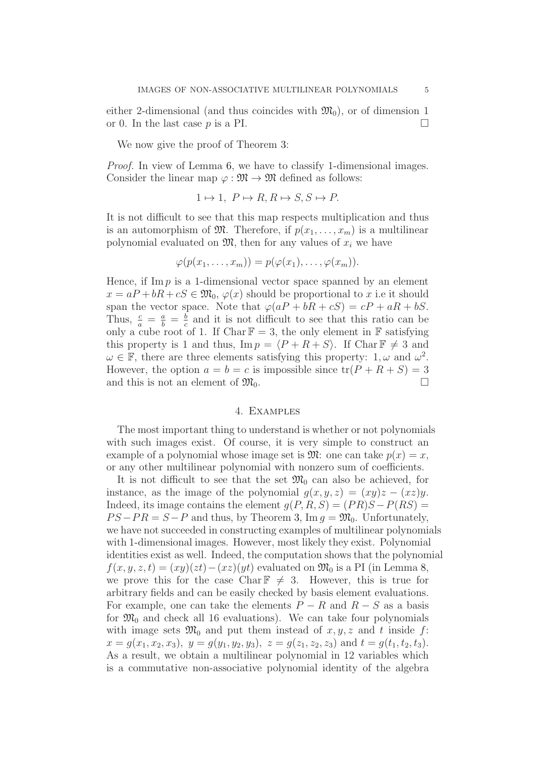either 2-dimensional (and thus coincides with  $\mathfrak{M}_0$ ), or of dimension 1 or 0. In the last case  $p$  is a PI.

We now give the proof of Theorem [3:](#page-2-0)

Proof. In view of Lemma [6,](#page-3-2) we have to classify 1-dimensional images. Consider the linear map  $\varphi : \mathfrak{M} \to \mathfrak{M}$  defined as follows:

$$
1 \mapsto 1, P \mapsto R, R \mapsto S, S \mapsto P.
$$

It is not difficult to see that this map respects multiplication and thus is an automorphism of  $\mathfrak{M}$ . Therefore, if  $p(x_1, \ldots, x_m)$  is a multilinear polynomial evaluated on  $\mathfrak{M}$ , then for any values of  $x_i$  we have

$$
\varphi(p(x_1,\ldots,x_m))=p(\varphi(x_1),\ldots,\varphi(x_m)).
$$

Hence, if Im  $p$  is a 1-dimensional vector space spanned by an element  $x = aP + bR + cS \in \mathfrak{M}_0$ ,  $\varphi(x)$  should be proportional to x i.e it should span the vector space. Note that  $\varphi(aP + bR + cS) = cP + aR + bS$ . Thus,  $\frac{c}{a} = \frac{a}{b} = \frac{b}{c}$  $\frac{b}{c}$  and it is not difficult to see that this ratio can be only a cube root of 1. If Char  $\mathbb{F} = 3$ , the only element in  $\mathbb F$  satisfying this property is 1 and thus,  $\text{Im } p = \langle P + R + S \rangle$ . If Char  $\mathbb{F} \neq 3$  and  $\omega \in \mathbb{F}$ , there are three elements satisfying this property:  $1, \omega$  and  $\omega^2$ . However, the option  $a = b = c$  is impossible since  $tr(P + R + S) = 3$ and this is not an element of  $\mathfrak{M}_0$ .

#### 4. Examples

The most important thing to understand is whether or not polynomials with such images exist. Of course, it is very simple to construct an example of a polynomial whose image set is  $\mathfrak{M}$ : one can take  $p(x) = x$ , or any other multilinear polynomial with nonzero sum of coefficients.

It is not difficult to see that the set  $\mathfrak{M}_0$  can also be achieved, for instance, as the image of the polynomial  $g(x, y, z) = (xy)z - (xz)y$ . Indeed, its image contains the element  $g(P, R, S) = (PR)S - P(RS)$  $PS-PR = S-P$  and thus, by Theorem [3,](#page-2-0) Im  $q = \mathfrak{M}_0$ . Unfortunately, we have not succeeded in constructing examples of multilinear polynomials with 1-dimensional images. However, most likely they exist. Polynomial identities exist as well. Indeed, the computation shows that the polynomial  $f(x, y, z, t) = (xy)(zt) - (xz)(yt)$  evaluated on  $\mathfrak{M}_0$  is a PI (in Lemma [8,](#page-6-0) we prove this for the case Char  $\mathbb{F} \neq 3$ . However, this is true for arbitrary fields and can be easily checked by basis element evaluations. For example, one can take the elements  $P - R$  and  $R - S$  as a basis for  $\mathfrak{M}_0$  and check all 16 evaluations). We can take four polynomials with image sets  $\mathfrak{M}_0$  and put them instead of  $x, y, z$  and t inside f:  $x = g(x_1, x_2, x_3), y = g(y_1, y_2, y_3), z = g(z_1, z_2, z_3) \text{ and } t = g(t_1, t_2, t_3).$ As a result, we obtain a multilinear polynomial in 12 variables which is a commutative non-associative polynomial identity of the algebra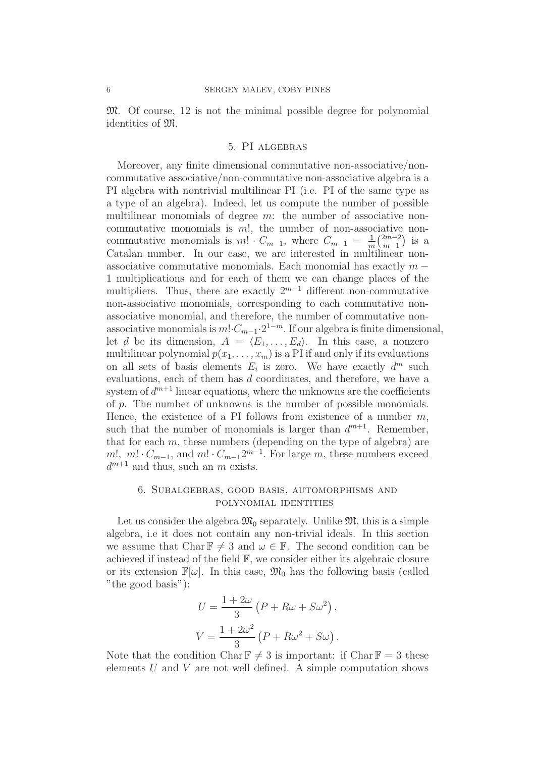M. Of course, 12 is not the minimal possible degree for polynomial identities of M.

#### 5. PI algebras

Moreover, any finite dimensional commutative non-associative/noncommutative associative/non-commutative non-associative algebra is a PI algebra with nontrivial multilinear PI (i.e. PI of the same type as a type of an algebra). Indeed, let us compute the number of possible multilinear monomials of degree m: the number of associative noncommutative monomials is m!, the number of non-associative noncommutative monomials is  $m! \cdot C_{m-1}$ , where  $C_{m-1} = \frac{1}{m} {2m-2 \choose m-1}$  $\binom{2m-2}{m-1}$  is a Catalan number. In our case, we are interested in multilinear nonassociative commutative monomials. Each monomial has exactly  $m -$ 1 multiplications and for each of them we can change places of the multipliers. Thus, there are exactly  $2^{m-1}$  different non-commutative non-associative monomials, corresponding to each commutative nonassociative monomial, and therefore, the number of commutative nonassociative monomials is  $m! \cdot C_{m-1} \cdot 2^{1-m}$ . If our algebra is finite dimensional, let d be its dimension,  $A = \langle E_1, \ldots, E_d \rangle$ . In this case, a nonzero multilinear polynomial  $p(x_1, \ldots, x_m)$  is a PI if and only if its evaluations on all sets of basis elements  $E_i$  is zero. We have exactly  $d^m$  such evaluations, each of them has d coordinates, and therefore, we have a system of  $d^{m+1}$  linear equations, where the unknowns are the coefficients of p. The number of unknowns is the number of possible monomials. Hence, the existence of a PI follows from existence of a number  $m$ , such that the number of monomials is larger than  $d^{m+1}$ . Remember, that for each  $m$ , these numbers (depending on the type of algebra) are m!, m!  $C_{m-1}$ , and m!  $C_{m-1}2^{m-1}$ . For large m, these numbers exceed  $d^{m+1}$  and thus, such an m exists.

## 6. Subalgebras, good basis, automorphisms and polynomial identities

Let us consider the algebra  $\mathfrak{M}_0$  separately. Unlike  $\mathfrak{M}$ , this is a simple algebra, i.e it does not contain any non-trivial ideals. In this section we assume that Char  $\mathbb{F} \neq 3$  and  $\omega \in \mathbb{F}$ . The second condition can be achieved if instead of the field F, we consider either its algebraic closure or its extension  $\mathbb{F}[\omega]$ . In this case,  $\mathfrak{M}_0$  has the following basis (called "the good basis"):

$$
U = \frac{1 + 2\omega}{3} (P + R\omega + S\omega^2),
$$
  

$$
V = \frac{1 + 2\omega^2}{3} (P + R\omega^2 + S\omega).
$$

Note that the condition Char  $\mathbb{F} \neq 3$  is important: if Char  $\mathbb{F} = 3$  these elements  $U$  and  $V$  are not well defined. A simple computation shows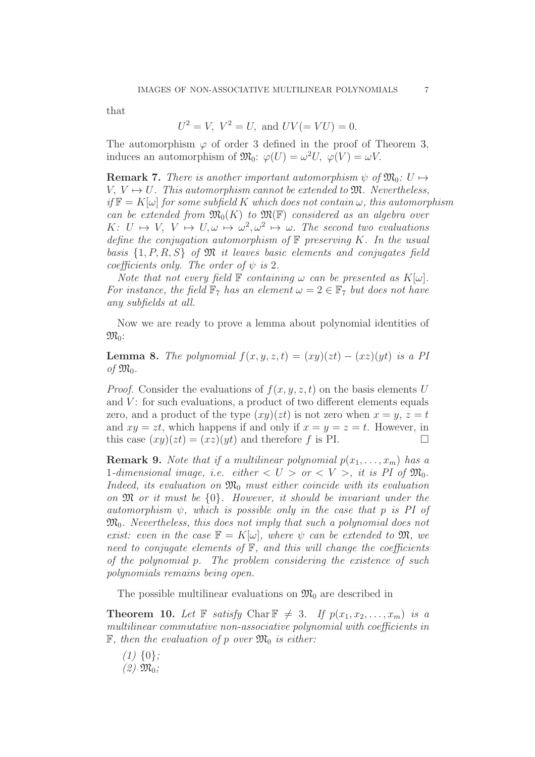that

$$
U^2 = V
$$
,  $V^2 = U$ , and  $UV(=VU) = 0$ .

The automorphism  $\varphi$  of order 3 defined in the proof of Theorem [3,](#page-2-0) induces an automorphism of  $\mathfrak{M}_0$ :  $\varphi(U) = \omega^2 U$ ,  $\varphi(V) = \omega V$ .

**Remark 7.** There is another important automorphism  $\psi$  of  $\mathfrak{M}_0: U \mapsto$  $V, V \mapsto U$ . This automorphism cannot be extended to  $\mathfrak{M}$ . Nevertheless,  $if \mathbb{F} = K[\omega]$  for some subfield K which does not contain  $\omega$ , this automorphism can be extended from  $\mathfrak{M}_{0}(K)$  to  $\mathfrak{M}(\mathbb{F})$  considered as an algebra over  $K: U \mapsto V, V \mapsto U, \omega \mapsto \omega^2, \omega^2 \mapsto \omega$ . The second two evaluations define the conjugation automorphism of  $\mathbb F$  preserving K. In the usual basis  $\{1, P, R, S\}$  of  $\mathfrak M$  it leaves basic elements and conjugates field coefficients only. The order of  $\psi$  is 2.

Note that not every field  $\mathbb F$  containing  $\omega$  can be presented as  $K[\omega]$ . For instance, the field  $\mathbb{F}_7$  has an element  $\omega = 2 \in \mathbb{F}_7$  but does not have any subfields at all.

Now we are ready to prove a lemma about polynomial identities of  $\mathfrak{M}_0$ :

<span id="page-6-0"></span>**Lemma 8.** The polynomial  $f(x, y, z, t) = (xy)(zt) - (xz)(yt)$  is a PI of  $\mathfrak{M}_0$ .

*Proof.* Consider the evaluations of  $f(x, y, z, t)$  on the basis elements U and  $V$ : for such evaluations, a product of two different elements equals zero, and a product of the type  $(xy)(zt)$  is not zero when  $x = y, z = t$ and  $xy = zt$ , which happens if and only if  $x = y = z = t$ . However, in this case  $(xy)(zt) = (xz)(yt)$  and therefore f is PI.

**Remark 9.** Note that if a multilinear polynomial  $p(x_1, \ldots, x_m)$  has a 1-dimensional image, i.e. either  $\langle U \rangle$  or  $\langle V \rangle$ , it is PI of  $\mathfrak{M}_0$ . Indeed, its evaluation on  $\mathfrak{M}_0$  must either coincide with its evaluation on M or it must be {0}. However, it should be invariant under the automorphism  $\psi$ , which is possible only in the case that p is PI of  $\mathfrak{M}_0$ . Nevertheless, this does not imply that such a polynomial does not exist: even in the case  $\mathbb{F} = K[\omega]$ , where  $\psi$  can be extended to  $\mathfrak{M}$ , we need to conjugate elements of  $\mathbb{F}$ , and this will change the coefficients of the polynomial p. The problem considering the existence of such polynomials remains being open.

The possible multilinear evaluations on  $\mathfrak{M}_0$  are described in

**Theorem 10.** Let  $\mathbb{F}$  satisfy Char  $\mathbb{F} \neq 3$ . If  $p(x_1, x_2, \ldots, x_m)$  is a multilinear commutative non-associative polynomial with coefficients in  $\mathbb{F}$ , then the evaluation of p over  $\mathfrak{M}_0$  is either:

 $(1)$  {0};  $(2)$   $\mathfrak{M}_0$ ;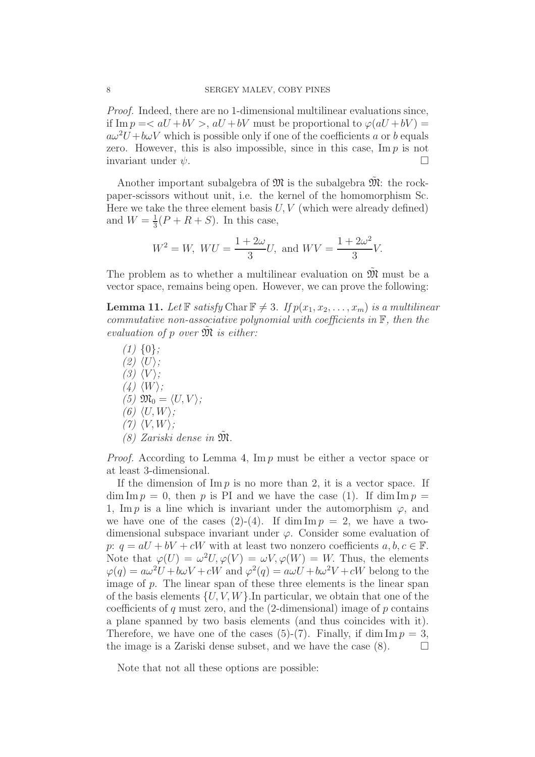Proof. Indeed, there are no 1-dimensional multilinear evaluations since, if Im  $p = \langle aU + bV \rangle$ ,  $aU + bV$  must be proportional to  $\varphi(aU + bV)$  $a\omega^2U + b\omega V$  which is possible only if one of the coefficients a or b equals zero. However, this is also impossible, since in this case,  $\text{Im } p$  is not invariant under  $\psi$ .

Another important subalgebra of  $\mathfrak{M}$  is the subalgebra  $\mathfrak{M}$ : the rockpaper-scissors without unit, i.e. the kernel of the homomorphism Sc. Here we take the three element basis  $U, V$  (which were already defined) and  $W=\frac{1}{3}$  $\frac{1}{3}(P+R+S)$ . In this case,

$$
W^2 = W
$$
,  $WU = \frac{1 + 2\omega}{3}U$ , and  $WV = \frac{1 + 2\omega^2}{3}V$ .

The problem as to whether a multilinear evaluation on  $\mathfrak{M}$  must be a vector space, remains being open. However, we can prove the following:

<span id="page-7-0"></span>**Lemma 11.** Let  $\mathbb{F}$  satisfy Char  $\mathbb{F} \neq 3$ . If  $p(x_1, x_2, \ldots, x_m)$  is a multilinear commutative non-associative polynomial with coefficients in  $\mathbb{F}$ , then the evaluation of p over  $\mathfrak{M}$  is either:

 $(1) \{0\};$  $(2)$   $\langle U \rangle$ ;  $(3) \langle V \rangle$ ;  $(4) \langle W \rangle;$ (5)  $\mathfrak{M}_0 = \langle U, V \rangle$ ; (6)  $\langle U, W \rangle$ ;  $(7)$   $\langle V, W \rangle$ ;  $(8)$  Zariski dense in  $\mathfrak{M}$ .

*Proof.* According to Lemma [4,](#page-3-0) Im  $p$  must be either a vector space or at least 3-dimensional.

If the dimension of  $\text{Im } p$  is no more than 2, it is a vector space. If  $\dim \mathrm{Im} p = 0$ , then p is PI and we have the case (1). If  $\dim \mathrm{Im} p =$ 1, Im p is a line which is invariant under the automorphism  $\varphi$ , and we have one of the cases (2)-(4). If dim  $\text{Im } p = 2$ , we have a twodimensional subspace invariant under  $\varphi$ . Consider some evaluation of p:  $q = aU + bV + cW$  with at least two nonzero coefficients  $a, b, c \in \mathbb{F}$ . Note that  $\varphi(U) = \omega^2 U, \varphi(V) = \omega V, \varphi(W) = W$ . Thus, the elements  $\varphi(q) = a\omega^2 U + b\omega V + cW$  and  $\varphi^2(q) = a\omega U + b\omega^2 V + cW$  belong to the image of p. The linear span of these three elements is the linear span of the basis elements  $\{U, V, W\}$ . In particular, we obtain that one of the coefficients of q must zero, and the  $(2$ -dimensional) image of p contains a plane spanned by two basis elements (and thus coincides with it). Therefore, we have one of the cases (5)-(7). Finally, if dim  $\text{Im } p = 3$ , the image is a Zariski dense subset, and we have the case  $(8)$ .  $\Box$ 

Note that not all these options are possible: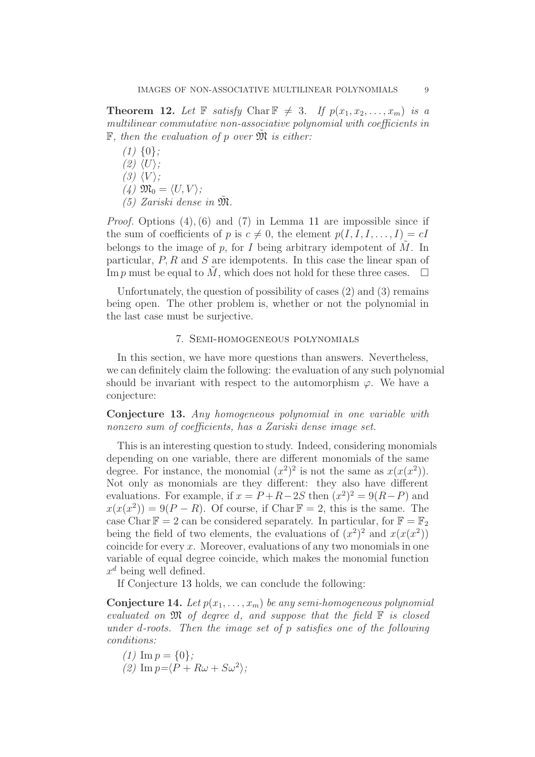**Theorem 12.** Let  $\mathbb{F}$  satisfy Char  $\mathbb{F} \neq 3$ . If  $p(x_1, x_2, \ldots, x_m)$  is a multilinear commutative non-associative polynomial with coefficients in  $\mathbb F$ , then the evaluation of p over  $\mathfrak M$  is either:

 $(1)$  {0};  $(2)$   $\langle U \rangle$ :  $(3) \langle V \rangle$ ; (4)  $\mathfrak{M}_0 = \langle U, V \rangle$ ; (5) Zariski dense in  $\tilde{\mathfrak{M}}$ .

*Proof.* Options  $(4)$ ,  $(6)$  and  $(7)$  in Lemma [11](#page-7-0) are impossible since if the sum of coefficients of p is  $c \neq 0$ , the element  $p(I, I, I, \ldots, I) = cI$ belongs to the image of p, for I being arbitrary idempotent of  $\tilde{M}$ . In particular,  $P, R$  and  $S$  are idempotents. In this case the linear span of Im p must be equal to  $\tilde{M}$ , which does not hold for these three cases.  $\Box$ 

Unfortunately, the question of possibility of cases (2) and (3) remains being open. The other problem is, whether or not the polynomial in the last case must be surjective.

### 7. Semi-homogeneous polynomials

<span id="page-8-0"></span>In this section, we have more questions than answers. Nevertheless, we can definitely claim the following: the evaluation of any such polynomial should be invariant with respect to the automorphism  $\varphi$ . We have a conjecture:

<span id="page-8-1"></span>Conjecture 13. Any homogeneous polynomial in one variable with nonzero sum of coefficients, has a Zariski dense image set.

This is an interesting question to study. Indeed, considering monomials depending on one variable, there are different monomials of the same degree. For instance, the monomial  $(x^2)^2$  is not the same as  $x(x(x^2))$ . Not only as monomials are they different: they also have different evaluations. For example, if  $x = P + R - 2S$  then  $(x^2)^2 = 9(R - P)$  and  $x(x(x^2)) = 9(P - R)$ . Of course, if Char  $\mathbb{F} = 2$ , this is the same. The case Char  $\mathbb{F} = 2$  can be considered separately. In particular, for  $\mathbb{F} = \mathbb{F}_2$ being the field of two elements, the evaluations of  $(x^2)^2$  and  $x(x(x^2))$ coincide for every  $x$ . Moreover, evaluations of any two monomials in one variable of equal degree coincide, which makes the monomial function  $x^d$  being well defined.

If Conjecture [13](#page-8-1) holds, we can conclude the following:

**Conjecture 14.** Let  $p(x_1, \ldots, x_m)$  be any semi-homogeneous polynomial evaluated on  $\mathfrak M$  of degree d, and suppose that the field  $\mathbb F$  is closed under d-roots. Then the image set of p satisfies one of the following conditions:

- (1)  $\text{Im } v = \{0\}$ :
- (2)  $\text{Im } p = \langle P + R\omega + S\omega^2 \rangle;$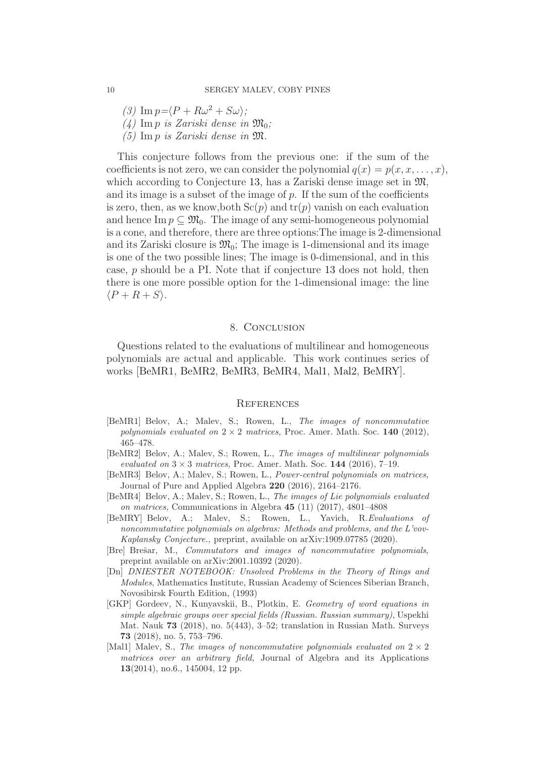(3)  $\text{Im } p = \langle P + R\omega^2 + S\omega \rangle;$ 

(4) Im p is Zariski dense in  $\mathfrak{M}_{0}$ ;

(5) Im p is Zariski dense in M.

This conjecture follows from the previous one: if the sum of the coefficients is not zero, we can consider the polynomial  $q(x) = p(x, x, \ldots, x)$ , which according to Conjecture [13,](#page-8-1) has a Zariski dense image set in  $\mathfrak{M}$ , and its image is a subset of the image of  $p$ . If the sum of the coefficients is zero, then, as we know, both  $Sc(p)$  and  $tr(p)$  vanish on each evaluation and hence Im  $p \subseteq \mathfrak{M}_0$ . The image of any semi-homogeneous polynomial is a cone, and therefore, there are three options:The image is 2-dimensional and its Zariski closure is  $\mathfrak{M}_0$ ; The image is 1-dimensional and its image is one of the two possible lines; The image is 0-dimensional, and in this case, p should be a PI. Note that if conjecture [13](#page-8-1) does not hold, then there is one more possible option for the 1-dimensional image: the line  $\langle P + R + S \rangle$ .

#### 8. Conclusion

Questions related to the evaluations of multilinear and homogeneous polynomials are actual and applicable. This work continues series of works [\[BeMR1,](#page-9-4) [BeMR2,](#page-9-5) [BeMR3,](#page-9-6) [BeMR4,](#page-9-7) [Mal1,](#page-9-8) [Mal2,](#page-10-3) [BeMRY\]](#page-9-2).

#### **REFERENCES**

- <span id="page-9-4"></span>[BeMR1] Belov, A.; Malev, S.; Rowen, L., *The images of noncommutative polynomials evaluated on*  $2 \times 2$  *matrices,* Proc. Amer. Math. Soc. 140 (2012), 465–478.
- <span id="page-9-5"></span>[BeMR2] Belov, A.; Malev, S.; Rowen, L., *The images of multilinear polynomials evaluated on*  $3 \times 3$  *matrices*, Proc. Amer. Math. Soc. 144 (2016), 7-19.
- <span id="page-9-6"></span>[BeMR3] Belov, A.; Malev, S.; Rowen, L., *Power-central polynomials on matrices,* Journal of Pure and Applied Algebra 220 (2016), 2164–2176.
- <span id="page-9-7"></span>[BeMR4] Belov, A.; Malev, S.; Rowen, L., *The images of Lie polynomials evaluated on matrices,* Communications in Algebra 45 (11) (2017), 4801–4808
- <span id="page-9-2"></span>[BeMRY] Belov, A.; Malev, S.; Rowen, L., Yavich, R.*Evaluations of noncommutative polynomials on algebras: Methods and problems, and the L'vov-Kaplansky Conjecture.,* preprint, available on arXiv:1909.07785 (2020).
- <span id="page-9-0"></span>[Bre] Brešar, M., *Commutators and images of noncommutative polynomials*, preprint available on arXiv:2001.10392 (2020).
- <span id="page-9-3"></span>[Dn] *DNIESTER NOTEBOOK: Unsolved Problems in the Theory of Rings and Modules*, Mathematics Institute, Russian Academy of Sciences Siberian Branch, Novosibirsk Fourth Edition, (1993)
- <span id="page-9-1"></span>[GKP] Gordeev, N., Kunyavskii, B., Plotkin, E. *Geometry of word equations in simple algebraic groups over special fields (Russian. Russian summary)*, Uspekhi Mat. Nauk 73 (2018), no. 5(443), 3–52; translation in Russian Math. Surveys 73 (2018), no. 5, 753–796.
- <span id="page-9-8"></span>[Mal1] Malev, S., *The images of noncommutative polynomials evaluated on*  $2 \times 2$ *matrices over an arbitrary field,* Journal of Algebra and its Applications 13(2014), no.6., 145004, 12 pp.